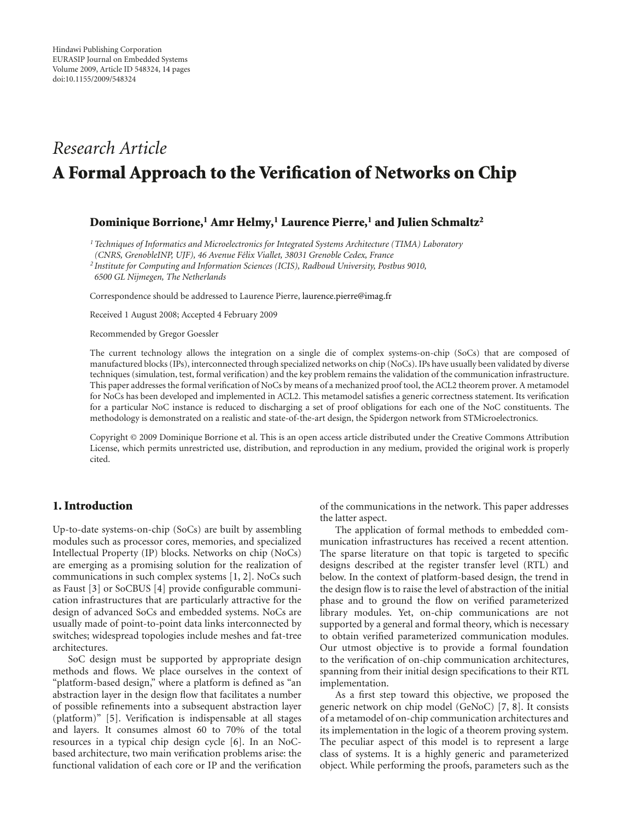# *Research Article* **A Formal Approach to the Verification of Networks on Chip**

# **Dominique Borrione,<sup>1</sup> Amr Helmy,<sup>1</sup> Laurence Pierre,<sup>1</sup> and Julien Schmaltz<sup>2</sup>**

*1Techniques of Informatics and Microelectronics for Integrated Systems Architecture (TIMA) Laboratory*

*(CNRS, GrenobleINP, UJF), 46 Avenue F´elix Viallet, 38031 Grenoble Cedex, France*

*<sup>2</sup> Institute for Computing and Information Sciences (ICIS), Radboud University, Postbus 9010,*

*6500 GL Nijmegen, The Netherlands*

Correspondence should be addressed to Laurence Pierre, laurence.pierre@imag.fr

Received 1 August 2008; Accepted 4 February 2009

Recommended by Gregor Goessler

The current technology allows the integration on a single die of complex systems-on-chip (SoCs) that are composed of manufactured blocks (IPs), interconnected through specialized networks on chip (NoCs). IPs have usually been validated by diverse techniques (simulation, test, formal verification) and the key problem remains the validation of the communication infrastructure. This paper addresses the formal verification of NoCs by means of a mechanized proof tool, the ACL2 theorem prover. A metamodel for NoCs has been developed and implemented in ACL2. This metamodel satisfies a generic correctness statement. Its verification for a particular NoC instance is reduced to discharging a set of proof obligations for each one of the NoC constituents. The methodology is demonstrated on a realistic and state-of-the-art design, the Spidergon network from STMicroelectronics.

Copyright © 2009 Dominique Borrione et al. This is an open access article distributed under the Creative Commons Attribution License, which permits unrestricted use, distribution, and reproduction in any medium, provided the original work is properly cited.

## **1. Introduction**

Up-to-date systems-on-chip (SoCs) are built by assembling modules such as processor cores, memories, and specialized Intellectual Property (IP) blocks. Networks on chip (NoCs) are emerging as a promising solution for the realization of communications in such complex systems [1, 2]. NoCs such as Faust [3] or SoCBUS [4] provide configurable communication infrastructures that are particularly attractive for the design of advanced SoCs and embedded systems. NoCs are usually made of point-to-point data links interconnected by switches; widespread topologies include meshes and fat-tree architectures.

SoC design must be supported by appropriate design methods and flows. We place ourselves in the context of "platform-based design," where a platform is defined as "an abstraction layer in the design flow that facilitates a number of possible refinements into a subsequent abstraction layer (platform)" [5]. Verification is indispensable at all stages and layers. It consumes almost 60 to 70% of the total resources in a typical chip design cycle [6]. In an NoCbased architecture, two main verification problems arise: the functional validation of each core or IP and the verification

of the communications in the network. This paper addresses the latter aspect.

The application of formal methods to embedded communication infrastructures has received a recent attention. The sparse literature on that topic is targeted to specific designs described at the register transfer level (RTL) and below. In the context of platform-based design, the trend in the design flow is to raise the level of abstraction of the initial phase and to ground the flow on verified parameterized library modules. Yet, on-chip communications are not supported by a general and formal theory, which is necessary to obtain verified parameterized communication modules. Our utmost objective is to provide a formal foundation to the verification of on-chip communication architectures, spanning from their initial design specifications to their RTL implementation.

As a first step toward this objective, we proposed the generic network on chip model (GeNoC) [7, 8]. It consists of a metamodel of on-chip communication architectures and its implementation in the logic of a theorem proving system. The peculiar aspect of this model is to represent a large class of systems. It is a highly generic and parameterized object. While performing the proofs, parameters such as the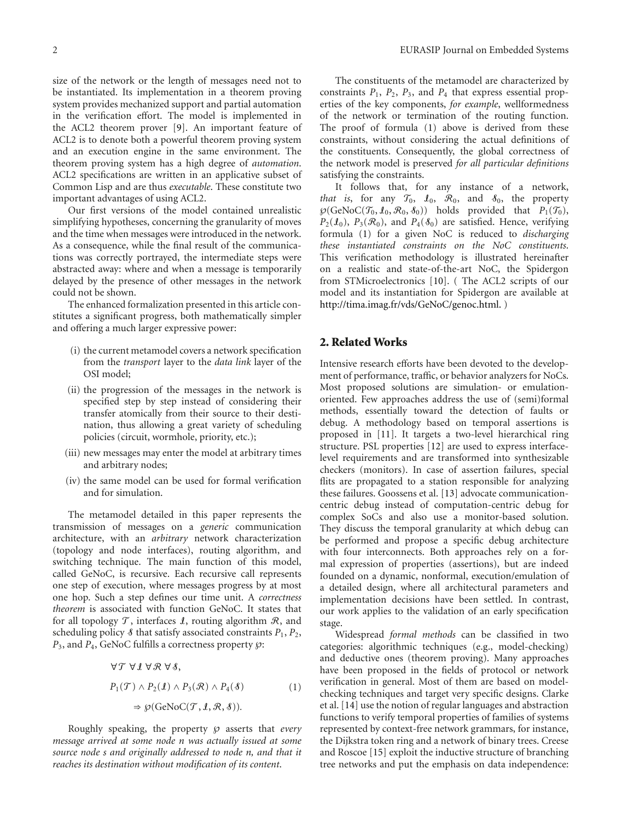size of the network or the length of messages need not to be instantiated. Its implementation in a theorem proving system provides mechanized support and partial automation in the verification effort. The model is implemented in the ACL2 theorem prover [9]. An important feature of ACL2 is to denote both a powerful theorem proving system and an execution engine in the same environment. The theorem proving system has a high degree of *automation*. ACL2 specifications are written in an applicative subset of Common Lisp and are thus *executable*. These constitute two important advantages of using ACL2.

Our first versions of the model contained unrealistic simplifying hypotheses, concerning the granularity of moves and the time when messages were introduced in the network. As a consequence, while the final result of the communications was correctly portrayed, the intermediate steps were abstracted away: where and when a message is temporarily delayed by the presence of other messages in the network could not be shown.

The enhanced formalization presented in this article constitutes a significant progress, both mathematically simpler and offering a much larger expressive power:

- (i) the current metamodel covers a network specification from the *transport* layer to the *data link* layer of the OSI model;
- (ii) the progression of the messages in the network is specified step by step instead of considering their transfer atomically from their source to their destination, thus allowing a great variety of scheduling policies (circuit, wormhole, priority, etc.);
- (iii) new messages may enter the model at arbitrary times and arbitrary nodes;
- (iv) the same model can be used for formal verification and for simulation.

The metamodel detailed in this paper represents the transmission of messages on a *generic* communication architecture, with an *arbitrary* network characterization (topology and node interfaces), routing algorithm, and switching technique. The main function of this model, called GeNoC, is recursive. Each recursive call represents one step of execution, where messages progress by at most one hop. Such a step defines our time unit. A *correctness theorem* is associated with function GeNoC. It states that for all topology  $\mathcal T$ , interfaces  $\mathcal I$ , routing algorithm  $\mathcal R$ , and scheduling policy  $\delta$  that satisfy associated constraints  $P_1$ ,  $P_2$ , *P*3, and *P*4, GeNoC fulfills a correctness property *℘*:

$$
\forall \mathcal{T} \forall \mathcal{I} \forall \mathcal{R} \forall \mathcal{S},
$$
  
\n
$$
P_1(\mathcal{T}) \land P_2(\mathcal{I}) \land P_3(\mathcal{R}) \land P_4(\mathcal{S})
$$
 (1)  
\n
$$
\Rightarrow \wp(\text{Geo}(\mathcal{T}, \mathcal{I}, \mathcal{R}, \mathcal{S})).
$$

Roughly speaking, the property *℘* asserts that *every message arrived at some node n was actually issued at some source node s and originally addressed to node n, and that it reaches its destination without modification of its content*.

The constituents of the metamodel are characterized by constraints  $P_1$ ,  $P_2$ ,  $P_3$ , and  $P_4$  that express essential properties of the key components, *for example*, wellformedness of the network or termination of the routing function. The proof of formula (1) above is derived from these constraints, without considering the actual definitions of the constituents. Consequently, the global correctness of the network model is preserved *for all particular definitions* satisfying the constraints.

It follows that, for any instance of a network, *that is*, for any  $\mathcal{T}_0$ ,  $\mathcal{L}_0$ ,  $\mathcal{R}_0$ , and  $\mathcal{S}_0$ , the property  $\wp(\text{GeVoC}(\mathcal{T}_0, \mathcal{I}_0, \mathcal{R}_0, \mathcal{S}_0))$  holds provided that  $P_1(\mathcal{T}_0)$ ,  $P_2(\mathcal{A}_0)$ ,  $P_3(\mathcal{R}_0)$ , and  $P_4(\mathcal{A}_0)$  are satisfied. Hence, verifying formula (1) for a given NoC is reduced to *discharging these instantiated constraints on the NoC constituents*. This verification methodology is illustrated hereinafter on a realistic and state-of-the-art NoC, the Spidergon from STMicroelectronics [10]. ( The ACL2 scripts of our model and its instantiation for Spidergon are available at http://tima.imag.fr/vds/GeNoC/genoc.html. )

## **2. Related Works**

Intensive research efforts have been devoted to the development of performance, traffic, or behavior analyzers for NoCs. Most proposed solutions are simulation- or emulationoriented. Few approaches address the use of (semi)formal methods, essentially toward the detection of faults or debug. A methodology based on temporal assertions is proposed in [11]. It targets a two-level hierarchical ring structure. PSL properties [12] are used to express interfacelevel requirements and are transformed into synthesizable checkers (monitors). In case of assertion failures, special flits are propagated to a station responsible for analyzing these failures. Goossens et al. [13] advocate communicationcentric debug instead of computation-centric debug for complex SoCs and also use a monitor-based solution. They discuss the temporal granularity at which debug can be performed and propose a specific debug architecture with four interconnects. Both approaches rely on a formal expression of properties (assertions), but are indeed founded on a dynamic, nonformal, execution/emulation of a detailed design, where all architectural parameters and implementation decisions have been settled. In contrast, our work applies to the validation of an early specification stage.

Widespread *formal methods* can be classified in two categories: algorithmic techniques (e.g., model-checking) and deductive ones (theorem proving). Many approaches have been proposed in the fields of protocol or network verification in general. Most of them are based on modelchecking techniques and target very specific designs. Clarke et al. [14] use the notion of regular languages and abstraction functions to verify temporal properties of families of systems represented by context-free network grammars, for instance, the Dijkstra token ring and a network of binary trees. Creese and Roscoe [15] exploit the inductive structure of branching tree networks and put the emphasis on data independence: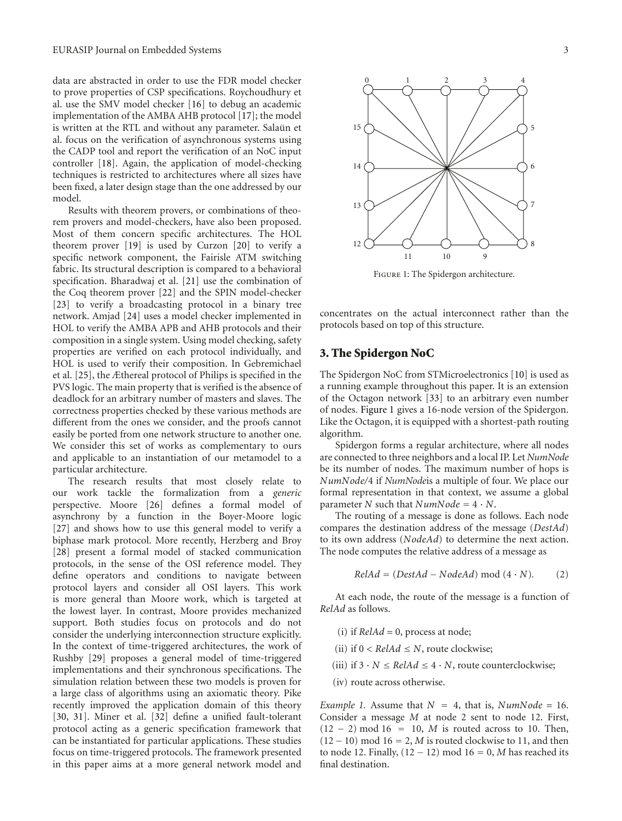data are abstracted in order to use the FDR model checker to prove properties of CSP specifications. Roychoudhury et al. use the SMV model checker [16] to debug an academic implementation of the AMBA AHB protocol [17]; the model is written at the RTL and without any parameter. Salaün et al. focus on the verification of asynchronous systems using the CADP tool and report the verification of an NoC input controller [18]. Again, the application of model-checking techniques is restricted to architectures where all sizes have been fixed, a later design stage than the one addressed by our model.

Results with theorem provers, or combinations of theorem provers and model-checkers, have also been proposed. Most of them concern specific architectures. The HOL theorem prover [19] is used by Curzon [20] to verify a specific network component, the Fairisle ATM switching fabric. Its structural description is compared to a behavioral specification. Bharadwaj et al. [21] use the combination of the Coq theorem prover [22] and the SPIN model-checker [23] to verify a broadcasting protocol in a binary tree network. Amjad [24] uses a model checker implemented in HOL to verify the AMBA APB and AHB protocols and their composition in a single system. Using model checking, safety properties are verified on each protocol individually, and HOL is used to verify their composition. In Gebremichael et al. [25], the Æthereal protocol of Philips is specified in the PVS logic. The main property that is verified is the absence of deadlock for an arbitrary number of masters and slaves. The correctness properties checked by these various methods are different from the ones we consider, and the proofs cannot easily be ported from one network structure to another one. We consider this set of works as complementary to ours and applicable to an instantiation of our metamodel to a particular architecture.

The research results that most closely relate to our work tackle the formalization from a *generic* perspective. Moore [26] defines a formal model of asynchrony by a function in the Boyer-Moore logic [27] and shows how to use this general model to verify a biphase mark protocol. More recently, Herzberg and Broy [28] present a formal model of stacked communication protocols, in the sense of the OSI reference model. They define operators and conditions to navigate between protocol layers and consider all OSI layers. This work is more general than Moore work, which is targeted at the lowest layer. In contrast, Moore provides mechanized support. Both studies focus on protocols and do not consider the underlying interconnection structure explicitly. In the context of time-triggered architectures, the work of Rushby [29] proposes a general model of time-triggered implementations and their synchronous specifications. The simulation relation between these two models is proven for a large class of algorithms using an axiomatic theory. Pike recently improved the application domain of this theory [30, 31]. Miner et al. [32] define a unified fault-tolerant protocol acting as a generic specification framework that can be instantiated for particular applications. These studies focus on time-triggered protocols. The framework presented in this paper aims at a more general network model and



Figure 1: The Spidergon architecture.

concentrates on the actual interconnect rather than the protocols based on top of this structure.

## **3. The Spidergon NoC**

The Spidergon NoC from STMicroelectronics [10] is used as a running example throughout this paper. It is an extension of the Octagon network [33] to an arbitrary even number of nodes. Figure 1 gives a 16-node version of the Spidergon. Like the Octagon, it is equipped with a shortest-path routing algorithm.

Spidergon forms a regular architecture, where all nodes are connected to three neighbors and a local IP. Let *NumNode* be its number of nodes. The maximum number of hops is *NumNode/*4 if *NumNode*is a multiple of four. We place our formal representation in that context, we assume a global parameter *N* such that  $NumNode = 4 \cdot N$ .

The routing of a message is done as follows. Each node compares the destination address of the message (*DestAd*) to its own address (*NodeAd*) to determine the next action. The node computes the relative address of a message as

$$
RelAd = (DestAd - NodeAd) \mod (4 \cdot N). \tag{2}
$$

At each node, the route of the message is a function of *RelAd* as follows.

- (i) if  $RelAd = 0$ , process at node;
- (ii) if  $0 < RelAd \leq N$ , route clockwise;
- (iii) if  $3 \cdot N \leq$  *RelAd*  $\leq 4 \cdot N$ , route counterclockwise;
- (iv) route across otherwise.

*Example 1.* Assume that  $N = 4$ , that is, *NumNode* = 16. Consider a message *M* at node 2 sent to node 12. First, (12 − 2) mod 16 = 10, *M* is routed across to 10. Then,  $(12 – 10)$  mod  $16 = 2$ , *M* is routed clockwise to 11, and then to node 12. Finally,  $(12 – 12)$  mod  $16 = 0$ , *M* has reached its final destination.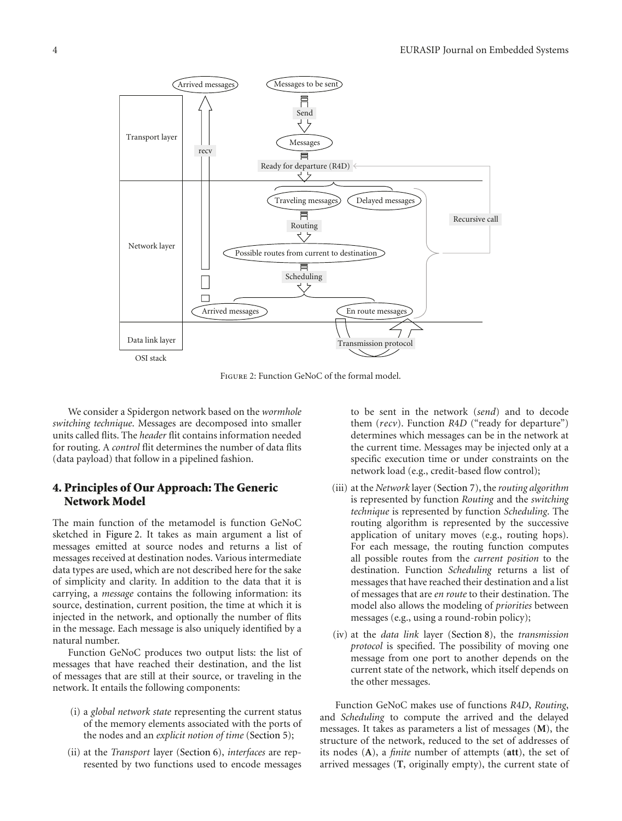

Figure 2: Function GeNoC of the formal model.

We consider a Spidergon network based on the *wormhole switching technique*. Messages are decomposed into smaller units called flits. The *header* flit contains information needed for routing. A *control* flit determines the number of data flits (data payload) that follow in a pipelined fashion.

# **4. Principles of Our Approach: The Generic Network Model**

The main function of the metamodel is function GeNoC sketched in Figure 2. It takes as main argument a list of messages emitted at source nodes and returns a list of messages received at destination nodes. Various intermediate data types are used, which are not described here for the sake of simplicity and clarity. In addition to the data that it is carrying, a *message* contains the following information: its source, destination, current position, the time at which it is injected in the network, and optionally the number of flits in the message. Each message is also uniquely identified by a natural number.

Function GeNoC produces two output lists: the list of messages that have reached their destination, and the list of messages that are still at their source, or traveling in the network. It entails the following components:

- (i) a *global network state* representing the current status of the memory elements associated with the ports of the nodes and an *explicit notion of time* (Section 5);
- (ii) at the *Transport* layer (Section 6), *interfaces* are represented by two functions used to encode messages

to be sent in the network (*send*) and to decode them (*recv*). Function *R*4*D* ("ready for departure") determines which messages can be in the network at the current time. Messages may be injected only at a specific execution time or under constraints on the network load (e.g., credit-based flow control);

- (iii) at the *Network* layer (Section 7), the *routing algorithm* is represented by function *Routing* and the *switching technique* is represented by function *Scheduling*. The routing algorithm is represented by the successive application of unitary moves (e.g., routing hops). For each message, the routing function computes all possible routes from the *current position* to the destination. Function *Scheduling* returns a list of messages that have reached their destination and a list of messages that are *en route* to their destination. The model also allows the modeling of *priorities* between messages (e.g., using a round-robin policy);
- (iv) at the *data link* layer (Section 8), the *transmission protocol* is specified. The possibility of moving one message from one port to another depends on the current state of the network, which itself depends on the other messages.

Function GeNoC makes use of functions *R*4*D*, *Routing*, and *Scheduling* to compute the arrived and the delayed messages. It takes as parameters a list of messages (**M**), the structure of the network, reduced to the set of addresses of its nodes (**A**), a *finite* number of attempts (**att**), the set of arrived messages (**T**, originally empty), the current state of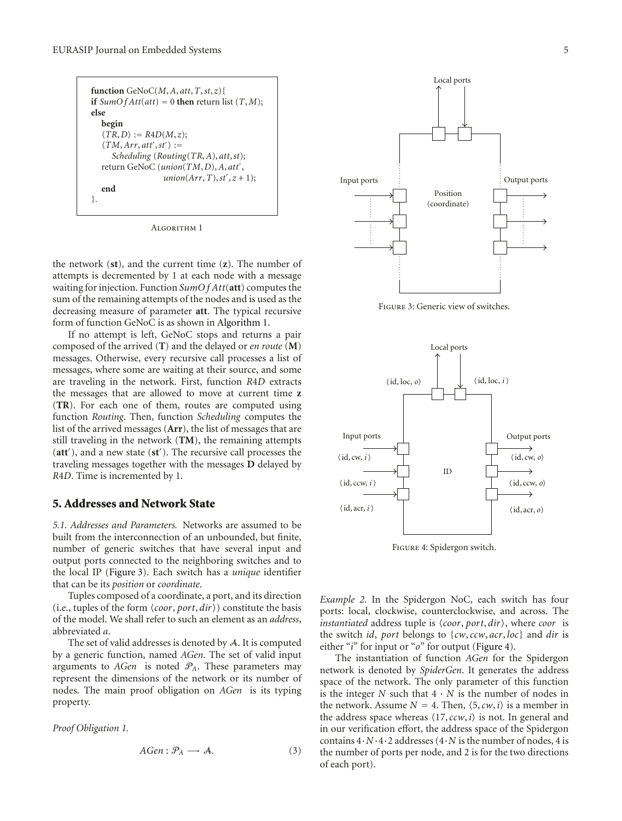```
function \text{GeVoC}(M, A, att, T, st, z)if SumOfAtt(at) = 0 then return list (T, M);
else
   begin
   \langle TR, D \rangle := R4D(M, z);\langle TM, Arr, att', st' \rangle :=Scheduling (Routing(TR,A), att,st);
   return GeNoC (union(TM, D),A, att
,
                     union(Arr, T), st', z+1);end
}.
```
Algorithm 1

the network (**st**), and the current time (**z**). The number of attempts is decremented by 1 at each node with a message waiting for injection. Function *SumO f Att*(**att**) computes the sum of the remaining attempts of the nodes and is used as the decreasing measure of parameter **att**. The typical recursive form of function GeNoC is as shown in Algorithm 1.

If no attempt is left, GeNoC stops and returns a pair composed of the arrived (**T**) and the delayed or *en route* (**M**) messages. Otherwise, every recursive call processes a list of messages, where some are waiting at their source, and some are traveling in the network. First, function *R*4*D* extracts the messages that are allowed to move at current time **z** (**TR**). For each one of them, routes are computed using function *Routing*. Then, function *Scheduling* computes the list of the arrived messages (**Arr**), the list of messages that are still traveling in the network (**TM**), the remaining attempts (**att** ), and a new state (**st** ). The recursive call processes the traveling messages together with the messages **D** delayed by *R*4*D*. Time is incremented by 1.

## **5. Addresses and Network State**

*5.1. Addresses and Parameters.* Networks are assumed to be built from the interconnection of an unbounded, but finite, number of generic switches that have several input and output ports connected to the neighboring switches and to the local IP (Figure 3). Each switch has a *unique* identifier that can be its *position* or *coordinate*.

Tuples composed of a coordinate, a port, and its direction (i.e., tuples of the form *coor*, *port*, *dir*) constitute the basis of the model. We shall refer to such an element as an *address*, abbreviated *a*.

The set of valid addresses is denoted by A. It is computed by a generic function, named *AGen*. The set of valid input arguments to  $AGen$  is noted  $\mathcal{P}_A$ . These parameters may represent the dimensions of the network or its number of nodes. The main proof obligation on *AGen* is its typing property.

*Proof Obligation 1.*

$$
AGen: \mathcal{P}_A \longrightarrow \mathcal{A}.\tag{3}
$$



Figure 3: Generic view of switches.



Figure 4: Spidergon switch.

*Example 2.* In the Spidergon NoC, each switch has four ports: local, clockwise, counterclockwise, and across. The *instantiated* address tuple is *coor*, *port*, *dir*, where *coor* is the switch *id*, *port* belongs to {*cw*,*ccw*, *acr*, *loc*} and *dir* is either "*i*" for input or "*o*" for output (Figure 4).

The instantiation of function *AGen* for the Spidergon network is denoted by *SpiderGen*. It generates the address space of the network. The only parameter of this function is the integer  $N$  such that  $4 \cdot N$  is the number of nodes in the network. Assume  $N = 4$ . Then,  $\langle 5, cw, i \rangle$  is a member in the address space whereas  $\langle 17, c\epsilon w, i \rangle$  is not. In general and in our verification effort, the address space of the Spidergon contains  $4 \cdot N \cdot 4 \cdot 2$  addresses  $(4 \cdot N \text{ is the number of nodes, 4 is})$ the number of ports per node, and 2 is for the two directions of each port).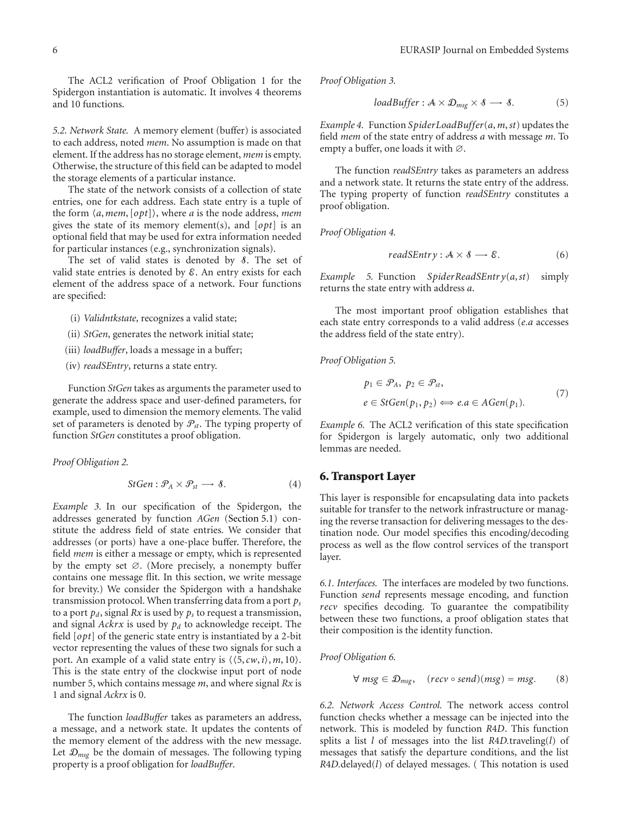The ACL2 verification of Proof Obligation 1 for the Spidergon instantiation is automatic. It involves 4 theorems and 10 functions.

*5.2. Network State.* A memory element (buffer) is associated to each address, noted *mem*. No assumption is made on that element. If the address has no storage element, *mem* is empty. Otherwise, the structure of this field can be adapted to model the storage elements of a particular instance.

The state of the network consists of a collection of state entries, one for each address. Each state entry is a tuple of the form  $\langle a, mem, [opt] \rangle$ , where *a* is the node address, *mem* gives the state of its memory element(s), and [*opt*] is an optional field that may be used for extra information needed for particular instances (e.g., synchronization signals).

The set of valid states is denoted by  $\delta$ . The set of valid state entries is denoted by  $\varepsilon$ . An entry exists for each element of the address space of a network. Four functions are specified:

- (i) *Validntkstate*, recognizes a valid state;
- (ii) *StGen*, generates the network initial state;
- (iii) *loadBuffer*, loads a message in a buffer;
- (iv) *readSEntry*, returns a state entry.

Function *StGen* takes as arguments the parameter used to generate the address space and user-defined parameters, for example, used to dimension the memory elements. The valid set of parameters is denoted by  $\mathcal{P}_{st}$ . The typing property of function *StGen* constitutes a proof obligation.

*Proof Obligation 2.*

$$
StGen: \mathcal{P}_A \times \mathcal{P}_{st} \longrightarrow \mathcal{S}.
$$
 (4)

*Example 3.* In our specification of the Spidergon, the addresses generated by function *AGen* (Section 5.1) constitute the address field of state entries. We consider that addresses (or ports) have a one-place buffer. Therefore, the field *mem* is either a message or empty, which is represented by the empty set ∅. (More precisely, a nonempty buffer contains one message flit. In this section, we write message for brevity.) We consider the Spidergon with a handshake transmission protocol. When transferring data from a port *ps* to a port  $p_d$ , signal  $Rx$  is used by  $p_s$  to request a transmission, and signal *Ackrx* is used by  $p_d$  to acknowledge receipt. The field [*opt*] of the generic state entry is instantiated by a 2-bit vector representing the values of these two signals for such a port. An example of a valid state entry is  $\langle \langle 5, cw, i \rangle, m, 10 \rangle$ . This is the state entry of the clockwise input port of node number 5, which contains message *m*, and where signal *Rx* is 1 and signal *Ackrx* is 0.

The function *loadBuffer* takes as parameters an address, a message, and a network state. It updates the contents of the memory element of the address with the new message. Let  $\mathcal{D}_{msg}$  be the domain of messages. The following typing property is a proof obligation for *loadBuffer*.

*Proof Obligation 3.*

$$
loadBuffer : A \times D_{msg} \times S \longrightarrow S. \tag{5}
$$

*Example 4.* Function *SpiderLoadBuffer*(*a*,*m*,*st*) updates the field *mem* of the state entry of address *a* with message *m*. To empty a buffer, one loads it with ∅.

The function *readSEntry* takes as parameters an address and a network state. It returns the state entry of the address. The typing property of function *readSEntry* constitutes a proof obligation.

*Proof Obligation 4.*

$$
readSEntry: A \times S \longrightarrow \mathcal{E}.
$$
 (6)

*Example 5.* Function *SpiderReadSEntr y*(*a*,*st*) simply returns the state entry with address *a*.

The most important proof obligation establishes that each state entry corresponds to a valid address (*e.a* accesses the address field of the state entry).

*Proof Obligation 5.*

$$
p_1 \in \mathcal{P}_A, \ p_2 \in \mathcal{P}_{st},
$$
  
\n
$$
e \in StGen(p_1, p_2) \iff e.a \in AGen(p_1).
$$
 (7)

*Example 6.* The ACL2 verification of this state specification for Spidergon is largely automatic, only two additional lemmas are needed.

## **6. Transport Layer**

This layer is responsible for encapsulating data into packets suitable for transfer to the network infrastructure or managing the reverse transaction for delivering messages to the destination node. Our model specifies this encoding/decoding process as well as the flow control services of the transport layer.

*6.1. Interfaces.* The interfaces are modeled by two functions. Function *send* represents message encoding, and function *recv* specifies decoding. To guarantee the compatibility between these two functions, a proof obligation states that their composition is the identity function.

*Proof Obligation 6.*

$$
\forall \; msg \in \mathcal{D}_{msg}, \quad (recv \circ send)(msg) = msg. \qquad (8)
$$

*6.2. Network Access Control.* The network access control function checks whether a message can be injected into the network. This is modeled by function *R*4*D*. This function splits a list *l* of messages into the list *R*4*D.*traveling(*l*) of messages that satisfy the departure conditions, and the list *R*4*D.*delayed(*l*) of delayed messages. ( This notation is used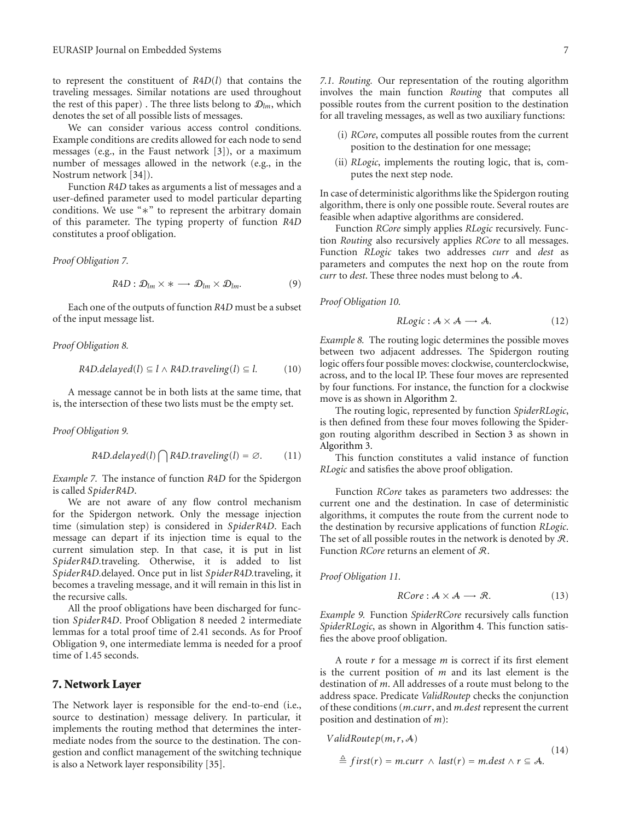to represent the constituent of *R*4*D*(*l*) that contains the traveling messages. Similar notations are used throughout the rest of this paper). The three lists belong to  $\mathcal{D}_{lm}$ , which denotes the set of all possible lists of messages.

We can consider various access control conditions. Example conditions are credits allowed for each node to send messages (e.g., in the Faust network [3]), or a maximum number of messages allowed in the network (e.g., in the Nostrum network [34]).

Function *R*4*D* takes as arguments a list of messages and a user-defined parameter used to model particular departing conditions. We use "∗" to represent the arbitrary domain of this parameter. The typing property of function *R*4*D* constitutes a proof obligation.

*Proof Obligation 7.*

$$
R4D: \mathcal{D}_{lm} \times * \longrightarrow \mathcal{D}_{lm} \times \mathcal{D}_{lm}. \tag{9}
$$

Each one of the outputs of function *R*4*D* must be a subset of the input message list.

*Proof Obligation 8.*

$$
R4D. delayed(l) \subseteq l \land R4D. traveling(l) \subseteq l. \tag{10}
$$

A message cannot be in both lists at the same time, that is, the intersection of these two lists must be the empty set.

*Proof Obligation 9.*

$$
R4D. delayed(l) \bigcap R4D. traveling(l) = \varnothing. \tag{11}
$$

*Example 7.* The instance of function *R*4*D* for the Spidergon is called *SpiderR*4*D*.

We are not aware of any flow control mechanism for the Spidergon network. Only the message injection time (simulation step) is considered in *SpiderR*4*D*. Each message can depart if its injection time is equal to the current simulation step. In that case, it is put in list *SpiderR*4*D.*traveling. Otherwise, it is added to list *SpiderR*4*D.*delayed. Once put in list *SpiderR*4*D.*traveling, it becomes a traveling message, and it will remain in this list in the recursive calls.

All the proof obligations have been discharged for function *SpiderR*4*D*. Proof Obligation 8 needed 2 intermediate lemmas for a total proof time of 2.41 seconds. As for Proof Obligation 9, one intermediate lemma is needed for a proof time of 1.45 seconds.

## **7. Network Layer**

The Network layer is responsible for the end-to-end (i.e., source to destination) message delivery. In particular, it implements the routing method that determines the intermediate nodes from the source to the destination. The congestion and conflict management of the switching technique is also a Network layer responsibility [35].

*7.1. Routing.* Our representation of the routing algorithm involves the main function *Routing* that computes all possible routes from the current position to the destination for all traveling messages, as well as two auxiliary functions:

- (i) *RCore*, computes all possible routes from the current position to the destination for one message;
- (ii) *RLogic*, implements the routing logic, that is, computes the next step node.

In case of deterministic algorithms like the Spidergon routing algorithm, there is only one possible route. Several routes are feasible when adaptive algorithms are considered.

Function *RCore* simply applies *RLogic* recursively. Function *Routing* also recursively applies *RCore* to all messages. Function *RLogic* takes two addresses *curr* and *dest* as parameters and computes the next hop on the route from *curr* to *dest*. These three nodes must belong to A.

*Proof Obligation 10.*

$$
RLogic: \mathcal{A} \times \mathcal{A} \longrightarrow \mathcal{A}.
$$
 (12)

*Example 8.* The routing logic determines the possible moves between two adjacent addresses. The Spidergon routing logic offers four possible moves: clockwise, counterclockwise, across, and to the local IP. These four moves are represented by four functions. For instance, the function for a clockwise move is as shown in Algorithm 2.

The routing logic, represented by function *SpiderRLogic*, is then defined from these four moves following the Spidergon routing algorithm described in Section 3 as shown in Algorithm 3.

This function constitutes a valid instance of function *RLogic* and satisfies the above proof obligation.

Function *RCore* takes as parameters two addresses: the current one and the destination. In case of deterministic algorithms, it computes the route from the current node to the destination by recursive applications of function *RLogic*. The set of all possible routes in the network is denoted by  $\mathcal{R}$ . Function *RCore* returns an element of R.

*Proof Obligation 11.*

$$
RCore: \mathcal{A} \times \mathcal{A} \longrightarrow \mathcal{R}.
$$
 (13)

*Example 9.* Function *SpiderRCore* recursively calls function *SpiderRLogic*, as shown in Algorithm 4. This function satisfies the above proof obligation.

A route *r* for a message *m* is correct if its first element is the current position of *m* and its last element is the destination of *m*. All addresses of a route must belong to the address space. Predicate *ValidRoutep* checks the conjunction of these conditions (*m.curr*, and *m.dest* represent the current position and destination of *m*):

$$
ValidRoutep(m, r, A)
$$
  
\n
$$
\triangleq first(r) = m.curr \land last(r) = m.dest \land r \subseteq A.
$$
\n(14)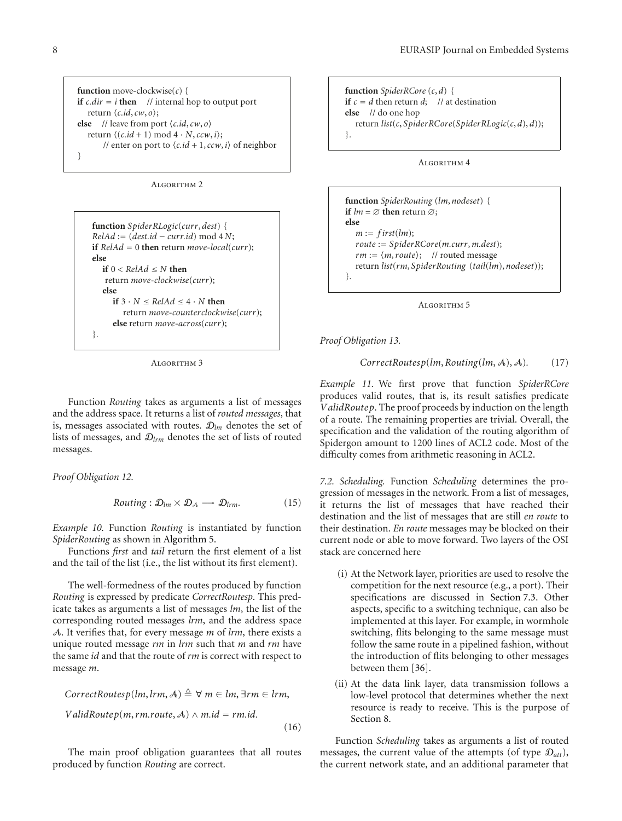**function** move-clockwise( $c$ ) { **if**  $c$ *, dir* = *i* **then** // internal hop to output port return *c.id*,*cw*, *o*; **else** // leave from port  $\langle c.id, cw, o \rangle$ return  $\langle (c.id + 1) \mod 4 \cdot N, ccw, i \rangle;$ // enter on port to  $\langle c.id + 1, ccw, i \rangle$  of neighbor }



**function** *SpiderRLogic*(*curr*, *dest*) { *RelAd* := (*dest.id* − *curr.id*) mod 4 *N*; **if**  $RelAd = 0$  **then** return *move-local*(*curr*); **else if**  $0 < RelAd \leq N$  **then** return *move*-*clockwise*(*curr*); **else if**  $3 \cdot N \leq RelAd \leq 4 \cdot N$  **then** return *move*-*counterclockwise*(*curr*); **else** return *move*-*across*(*curr*); }*.*

ALGORITHM 3

Function *Routing* takes as arguments a list of messages and the address space. It returns a list of *routed messages*, that is, messages associated with routes. D*lm* denotes the set of lists of messages, and D*lrm* denotes the set of lists of routed messages.

*Proof Obligation 12.*

$$
Routing: \mathcal{D}_{lm} \times \mathcal{D}_A \longrightarrow \mathcal{D}_{lrm}. \tag{15}
$$

*Example 10.* Function *Routing* is instantiated by function *SpiderRouting* as shown in Algorithm 5.

Functions *first* and *tail* return the first element of a list and the tail of the list (i.e., the list without its first element).

The well-formedness of the routes produced by function *Routing* is expressed by predicate *CorrectRoutesp*. This predicate takes as arguments a list of messages *lm*, the list of the corresponding routed messages *lrm*, and the address space A. It verifies that, for every message *m* of *lrm*, there exists a unique routed message *rm* in *lrm* such that *m* and *rm* have the same *id* and that the route of *rm* is correct with respect to message *m*.

$$
CorrectRoutersp(lm, lrm, A) \triangleq \forall m \in lm, \exists rm \in lrm,
$$

$$
ValidRoutep(m, rm.route, A) \land m.id = rm.id.
$$

$$
(16)
$$

The main proof obligation guarantees that all routes produced by function *Routing* are correct.



ALGORITHM 4

|      | <b>function</b> SpiderRouting (lm, nodeset) {        |
|------|------------------------------------------------------|
|      | if $lm = \emptyset$ then return $\emptyset$ ;        |
| else |                                                      |
|      | $m := first(lm);$                                    |
|      | $route := SpiderRCore(m.curr, m.dest);$              |
|      | $rm := \langle m, route \rangle$ ; // routed message |
|      | return list(rm, SpiderRouting (tail(lm), nodeset));  |
| ł.   |                                                      |
|      |                                                      |

ALGORITHM 5

*Proof Obligation 13.*

*CorrectRoutesp*(*lm*, *Routing*(*lm*, A), A)*.* (17)

*Example 11.* We first prove that function *SpiderRCore* produces valid routes, that is, its result satisfies predicate *ValidRoutep*. The proof proceeds by induction on the length of a route. The remaining properties are trivial. Overall, the specification and the validation of the routing algorithm of Spidergon amount to 1200 lines of ACL2 code. Most of the difficulty comes from arithmetic reasoning in ACL2.

*7.2. Scheduling.* Function *Scheduling* determines the progression of messages in the network. From a list of messages, it returns the list of messages that have reached their destination and the list of messages that are still *en route* to their destination. *En route* messages may be blocked on their current node or able to move forward. Two layers of the OSI stack are concerned here

- (i) At the Network layer, priorities are used to resolve the competition for the next resource (e.g., a port). Their specifications are discussed in Section 7.3. Other aspects, specific to a switching technique, can also be implemented at this layer. For example, in wormhole switching, flits belonging to the same message must follow the same route in a pipelined fashion, without the introduction of flits belonging to other messages between them [36].
- (ii) At the data link layer, data transmission follows a low-level protocol that determines whether the next resource is ready to receive. This is the purpose of Section 8.

Function *Scheduling* takes as arguments a list of routed messages, the current value of the attempts (of type  $\mathcal{D}_{att}$ ), the current network state, and an additional parameter that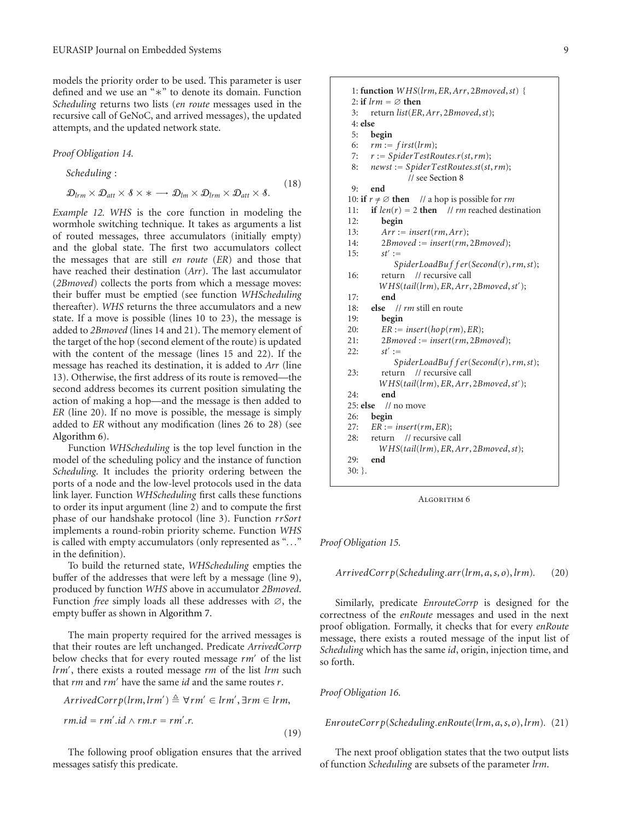models the priority order to be used. This parameter is user defined and we use an "∗" to denote its domain. Function *Scheduling* returns two lists (*en route* messages used in the recursive call of GeNoC, and arrived messages), the updated attempts, and the updated network state.

*Proof Obligation 14.*

*Scheduling* :  $\mathcal{D}_{lrm} \times \mathcal{D}_{att} \times \mathcal{S} \times * \longrightarrow \mathcal{D}_{lm} \times \mathcal{D}_{lrm} \times \mathcal{D}_{att} \times \mathcal{S}.$ (18)

*Example 12. WHS* is the core function in modeling the wormhole switching technique. It takes as arguments a list of routed messages, three accumulators (initially empty) and the global state. The first two accumulators collect the messages that are still *en route* (*ER*) and those that have reached their destination (*Arr*). The last accumulator (*2Bmoved*) collects the ports from which a message moves: their buffer must be emptied (see function *WHScheduling* thereafter). *WHS* returns the three accumulators and a new state. If a move is possible (lines 10 to 23), the message is added to *2Bmoved* (lines 14 and 21). The memory element of the target of the hop (second element of the route) is updated with the content of the message (lines 15 and 22). If the message has reached its destination, it is added to *Arr* (line 13). Otherwise, the first address of its route is removed—the second address becomes its current position simulating the action of making a hop—and the message is then added to *ER* (line 20). If no move is possible, the message is simply added to *ER* without any modification (lines 26 to 28) (see Algorithm 6).

Function *WHScheduling* is the top level function in the model of the scheduling policy and the instance of function *Scheduling*. It includes the priority ordering between the ports of a node and the low-level protocols used in the data link layer. Function *WHScheduling* first calls these functions to order its input argument (line 2) and to compute the first phase of our handshake protocol (line 3). Function *rrSort* implements a round-robin priority scheme. Function *WHS* is called with empty accumulators (only represented as "*...*" in the definition).

To build the returned state, *WHScheduling* empties the buffer of the addresses that were left by a message (line 9), produced by function *WHS* above in accumulator *2Bmoved*. Function *free* simply loads all these addresses with ∅, the empty buffer as shown in Algorithm 7.

The main property required for the arrived messages is that their routes are left unchanged. Predicate *ArrivedCorrp* below checks that for every routed message  $rm'$  of the list *lrm* , there exists a routed message *rm* of the list *lrm* such that *rm* and *rm* have the same *id* and the same routes *r*.

$$
ArrivedCorr p(lrm, lrm') \triangleq \forall rm' \in lrm', \exists rm \in lrm,
$$

$$
rm.id = rm'.id \land rm.r = rm'.r.
$$

$$
(19)
$$

The following proof obligation ensures that the arrived messages satisfy this predicate.

1: **function** *WHS*(*lrm*, *ER*,*Arr*, 2*Bmoved*,*st*) { 2: **if**  $\text{lrm} = \emptyset$  **then** 3: return *list*(*ER*,*Arr*, 2*Bmoved*,*st*); 4: **else** 5: **begin** 6: *rm* := *f irst*(*lrm*); 7: *r* := *SpiderTestRoutes.r*(*st*,*rm*); 8: *newst* := *SpiderTestRoutes.st*(*st*,*rm*); // see Section 8 9: **end** 10: **if**  $r \neq \emptyset$  **then** // a hop is possible for *rm*<br>11: **if**  $len(r) = 2$  **then** // *rm* reached desti 11: **if**  $len(r) = 2$  **then** // *rm* reached destination 12: **herein** 12: **begin** 13: *Arr* := *insert*(*rm*,*Arr*); 14:  $2B moved := insert(rm, 2B moved);$ <br>15:  $st' :=$  $st' :=$ *SpiderLoadBu f f er*(*Second*(*r*),*rm*,*st*); 16: return // recursive call *WHS*(*tail*(*lrm*), *ER*,*Arr*, 2*Bmoved*,*st* ); 17: **end** 18: **else** // *rm* still en route 19: **begin** 20:  $ER := insert(hop(rm), ER);$ <br>
21:  $2Bmodel := insert(rm, 2Bm)$ 21:  $2B moved := insert(rm, 2B moved);$ <br>  $22 \cdot \cdot \cdot \cdot =$  $st'$   $\cdot$   $=$ *SpiderLoadBu f f er*(*Second*(*r*),*rm*,*st*); 23: return // recursive call *WHS*(*tail*(*lrm*), *ER*,*Arr*, 2*Bmoved*,*st* ); 24: **end** 25: **else** // no move 26: **begin** 27:  $ER := insert(rm, ER);$ <br>28:  $return$  // recursive *c*: return // recursive call *WHS*(*tail*(*lrm*), *ER*,*Arr*, 2*Bmoved*,*st*); 29: **end** 30: }*.*

ALGORITHM 6

*Proof Obligation 15.*

*ArrivedCorr p*(*Scheduling.arr*(*lrm*, *a*,*s*, *o*), *lrm*)*.* (20)

Similarly, predicate *EnrouteCorrp* is designed for the correctness of the *enRoute* messages and used in the next proof obligation. Formally, it checks that for every *enRoute* message, there exists a routed message of the input list of *Scheduling* which has the same *id*, origin, injection time, and so forth.

## *Proof Obligation 16.*

*EnrouteCorr p*(*Scheduling.enRoute*(*lrm*, *a*,*s*, *o*), *lrm*)*.* (21)

The next proof obligation states that the two output lists of function *Scheduling* are subsets of the parameter *lrm*.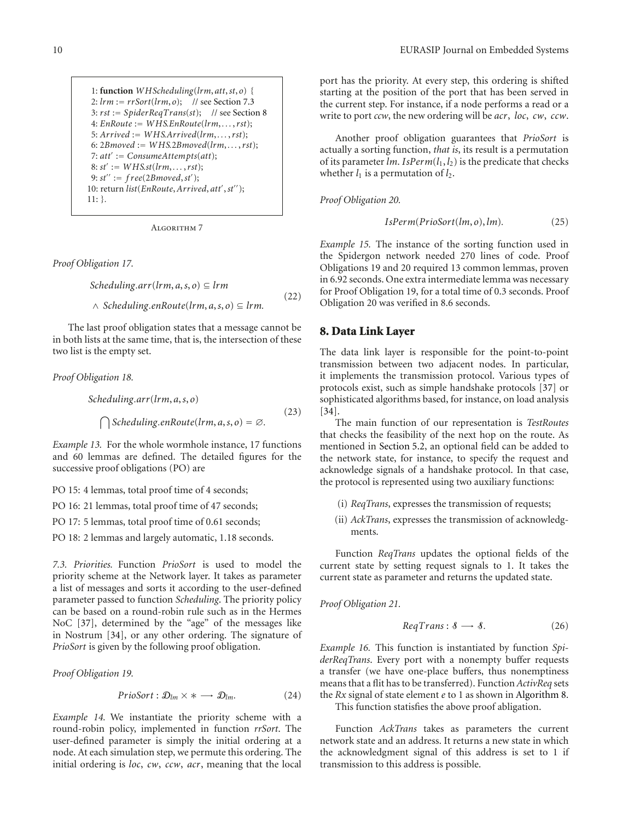1: **function** *WHScheduling*(*lrm*, *att*,*st*, *o*) { 2: *lrm* := *rrSort*(*lrm*, *o*); // see Section 7.3 3: *rst* := *SpiderReqTrans*(*st*); // see Section 8 4: *EnRoute* := *WHS.EnRoute*(*lrm*, *...* ,*rst*); 5:  $Arrived := WHS.Arrived(lrm, \ldots, rst);$ 6: 2*Bmoved* := *WHS.*2*Bmoved*(*lrm*, *...* ,*rst*); 7: *att* := *ConsumeAttempts*(*att*);  $8: st' := WHS.st(lrm, ..., rst);$ 9: *st* := *f ree*(2*Bmoved*,*st* ); 10: return *list*(*EnRoute*,*Arrived*, *att* ,*st*); 11: }*.*

ALGORITHM 7

*Proof Obligation 17.*

 $Scheduling.array(lrm, a, s, o) \subseteq lrm$ ∧ *Scheduling.enRoute*(*lrm*, *a*,*s*, *o*) ⊆ *lrm.* (22)

The last proof obligation states that a message cannot be in both lists at the same time, that is, the intersection of these two list is the empty set.

#### *Proof Obligation 18.*

Scheduling.array(lrm, a, s, o)  
\nScheduling\_enRoute(lrm, a, s, o) = 
$$
\emptyset
$$
. (23)

*Example 13.* For the whole wormhole instance, 17 functions and 60 lemmas are defined. The detailed figures for the successive proof obligations (PO) are

- PO 15: 4 lemmas, total proof time of 4 seconds;
- PO 16: 21 lemmas, total proof time of 47 seconds;
- PO 17: 5 lemmas, total proof time of 0.61 seconds;
- PO 18: 2 lemmas and largely automatic, 1.18 seconds.

*7.3. Priorities.* Function *PrioSort* is used to model the priority scheme at the Network layer. It takes as parameter a list of messages and sorts it according to the user-defined parameter passed to function *Scheduling*. The priority policy can be based on a round-robin rule such as in the Hermes NoC [37], determined by the "age" of the messages like in Nostrum [34], or any other ordering. The signature of *PrioSort* is given by the following proof obligation.

*Proof Obligation 19.*

$$
PrioSort: \mathcal{D}_{lm} \times * \longrightarrow \mathcal{D}_{lm}. \tag{24}
$$

*Example 14.* We instantiate the priority scheme with a round-robin policy, implemented in function *rrSort*. The user-defined parameter is simply the initial ordering at a node. At each simulation step, we permute this ordering. The initial ordering is *loc*, *cw*, *ccw*, *acr*, meaning that the local

port has the priority. At every step, this ordering is shifted starting at the position of the port that has been served in the current step. For instance, if a node performs a read or a write to port *ccw*, the new ordering will be *acr*, *loc*, *cw*, *ccw*.

Another proof obligation guarantees that *PrioSort* is actually a sorting function, *that is*, its result is a permutation of its parameter  $lm$ .  $IsPerm(l_1, l_2)$  is the predicate that checks whether  $l_1$  is a permutation of  $l_2$ .

*Proof Obligation 20.*

$$
IsPerm(PriorSort(lm, o), lm).
$$
 (25)

*Example 15.* The instance of the sorting function used in the Spidergon network needed 270 lines of code. Proof Obligations 19 and 20 required 13 common lemmas, proven in 6.92 seconds. One extra intermediate lemma was necessary for Proof Obligation 19, for a total time of 0.3 seconds. Proof Obligation 20 was verified in 8.6 seconds.

#### **8. Data Link Layer**

The data link layer is responsible for the point-to-point transmission between two adjacent nodes. In particular, it implements the transmission protocol. Various types of protocols exist, such as simple handshake protocols [37] or sophisticated algorithms based, for instance, on load analysis [34].

The main function of our representation is *TestRoutes* that checks the feasibility of the next hop on the route. As mentioned in Section 5.2, an optional field can be added to the network state, for instance, to specify the request and acknowledge signals of a handshake protocol. In that case, the protocol is represented using two auxiliary functions:

- (i) *ReqTrans*, expresses the transmission of requests;
- (ii) *AckTrans*, expresses the transmission of acknowledgments.

Function *ReqTrans* updates the optional fields of the current state by setting request signals to 1. It takes the current state as parameter and returns the updated state.

*Proof Obligation 21.*

$$
ReqTrans: \mathcal{S} \longrightarrow \mathcal{S}.
$$
 (26)

*Example 16.* This function is instantiated by function *SpiderReqTrans*. Every port with a nonempty buffer requests a transfer (we have one-place buffers, thus nonemptiness means that a flit has to be transferred). Function *ActivReq* sets the *Rx* signal of state element *e* to 1 as shown in Algorithm 8.

This function statisfies the above proof abligation.

Function *AckTrans* takes as parameters the current network state and an address. It returns a new state in which the acknowledgment signal of this address is set to 1 if transmission to this address is possible.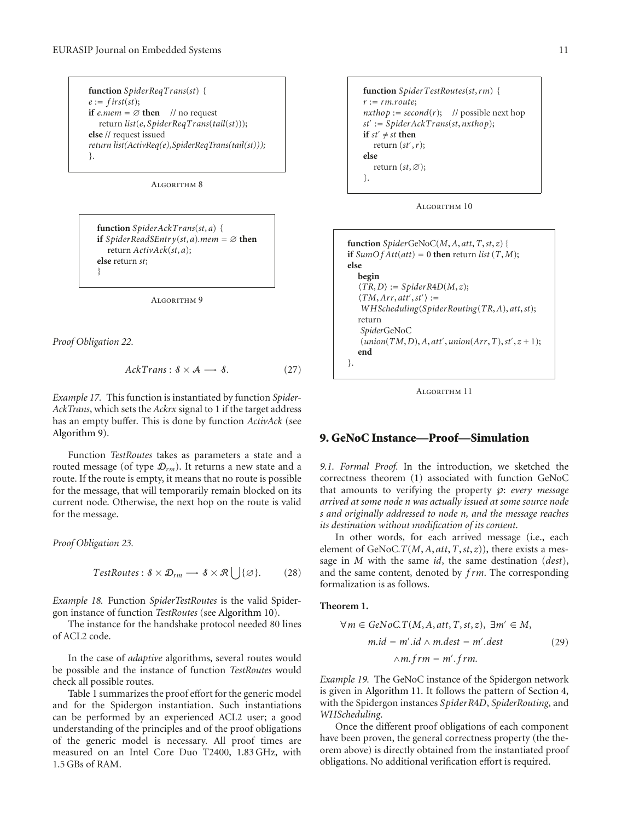**function** *SpiderReqTrans*(*st*) {  $e := first(st);$ **if**  $e$ *mem* =  $\emptyset$  **then** // no request return *list*(*e*, *SpiderReqTrans*(*tail*(*st*))); **else** // request issued *return list(ActivReq(e),SpiderReqTrans(tail(st)));* }*.*

ALGORITHM 8

**function** *SpiderAckTrans*(*st*, *a*) { **if**  $SpiderReadSENTy(st, a)$ *.mem* =  $\emptyset$  **then** return *ActivAck*(*st*, *a*); **else** return *st*; }

ALGORITHM 9

*Proof Obligation 22.*

$$
AckTrans: 8 \times A \longrightarrow 8. \tag{27}
$$

*Example 17.* This function is instantiated by function *Spider-AckTrans*, which sets the *Ackrx* signal to 1 if the target address has an empty buffer. This is done by function *ActivAck* (see Algorithm 9).

Function *TestRoutes* takes as parameters a state and a routed message (of type  $\mathcal{D}_{rm}$ ). It returns a new state and a route. If the route is empty, it means that no route is possible for the message, that will temporarily remain blocked on its current node. Otherwise, the next hop on the route is valid for the message.

*Proof Obligation 23.*

TestRouters: 
$$
\delta \times \mathcal{D}_{rm} \longrightarrow \delta \times \mathcal{R} \bigcup {\{\varnothing\}}.
$$
 (28)

*Example 18.* Function *SpiderTestRoutes* is the valid Spidergon instance of function *TestRoutes* (see Algorithm 10).

The instance for the handshake protocol needed 80 lines of ACL2 code.

In the case of *adaptive* algorithms, several routes would be possible and the instance of function *TestRoutes* would check all possible routes.

Table 1 summarizes the proof effort for the generic model and for the Spidergon instantiation. Such instantiations can be performed by an experienced ACL2 user; a good understanding of the principles and of the proof obligations of the generic model is necessary. All proof times are measured on an Intel Core Duo T2400, 1.83 GHz, with 1.5 GBs of RAM.

```
function SpiderTestRoutes(st,rm) {
r := rm.route;
nxthop := second(r); // possible next hop
st := SpiderAckTrans(st, nxthop);
if st' \neq st then
   return (st
,r);
else
  return (st, \emptyset);}.
```




ALGORITHM 11

#### **9. GeNoC Instance—Proof—Simulation**

*9.1. Formal Proof.* In the introduction, we sketched the correctness theorem (1) associated with function GeNoC that amounts to verifying the property *℘*: *every message arrived at some node n was actually issued at some source node s and originally addressed to node n, and the message reaches its destination without modification of its content*.

In other words, for each arrived message (i.e., each element of  $Genoc.T(M, A, att, T, st, z)$ , there exists a message in *M* with the same *id*, the same destination (*dest*), and the same content, denoted by *f rm*. The corresponding formalization is as follows.

#### **Theorem 1.**

$$
\forall m \in \text{GeVoC.} \, T(M, A, att, T, st, z), \, \exists m' \in M, \\
 m.id = m'.id \land m.dest = m'.dest \qquad (29) \\
 \land m.frm = m'.frm.
$$

*Example 19.* The GeNoC instance of the Spidergon network is given in Algorithm 11. It follows the pattern of Section 4, with the Spidergon instances *SpiderR*4*D*, *SpiderRouting*, and *WHScheduling*.

Once the different proof obligations of each component have been proven, the general correctness property (the theorem above) is directly obtained from the instantiated proof obligations. No additional verification effort is required.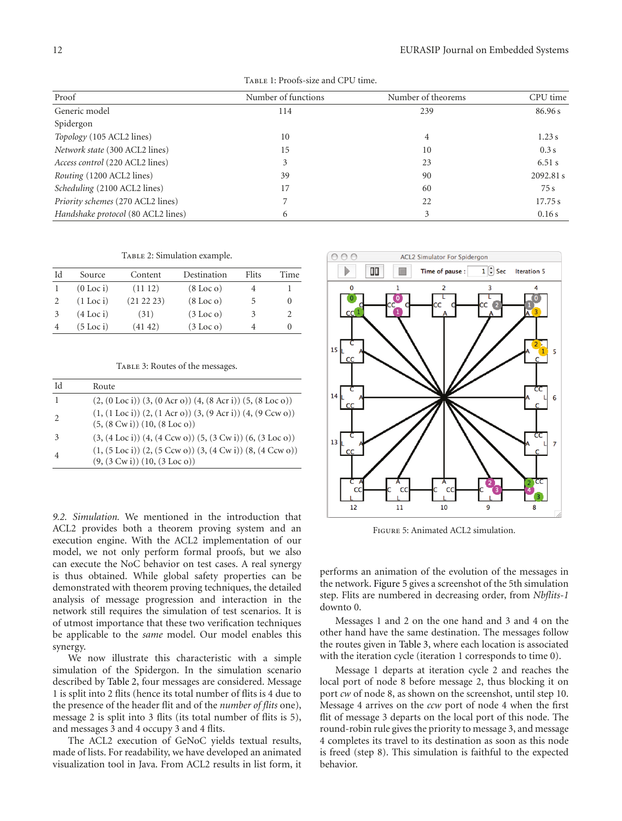Table 1: Proofs-size and CPU time.

| Proof                              | Number of functions | Number of theorems | CPU time  |
|------------------------------------|---------------------|--------------------|-----------|
| Generic model                      | 114                 | 239                | 86.96 s   |
| Spidergon                          |                     |                    |           |
| <i>Topology</i> (105 ACL2 lines)   | 10                  | 4                  | 1.23s     |
| Network state (300 ACL2 lines)     | 15                  | 10                 | 0.3 s     |
| Access control (220 ACL2 lines)    | 3                   | 23                 | 6.51 s    |
| Routing (1200 ACL2 lines)          | 39                  | 90                 | 2092.81 s |
| Scheduling (2100 ACL2 lines)       | 17                  | 60                 | 75s       |
| Priority schemes (270 ACL2 lines)  |                     | 22                 | 17.75 s   |
| Handshake protocol (80 ACL2 lines) | 6                   | 3                  | 0.16s     |

TABLE 2: Simulation example.

| Ιd | Source      | Content    | Destination          | Flits | Time     |
|----|-------------|------------|----------------------|-------|----------|
|    | $(0$ Loc i) | (1112)     | $(8$ Loc o)          | 4     |          |
|    | $(1$ Loc i) | (21 22 23) | $(8$ Loc o)          | 5     | $\theta$ |
| 3  | $(4$ Loc i) | (31)       | $(3$ Loc o)          | 3     |          |
| 4  | $(5$ Loc i) | (4142)     | $(3 \text{ Loc } o)$ |       |          |

| TABLE 3: Routes of the messages. |  |
|----------------------------------|--|
|----------------------------------|--|

| Id             | Route                                                                                                             |
|----------------|-------------------------------------------------------------------------------------------------------------------|
|                | $(2, (0 Loc i))$ $(3, (0 Acc o))$ $(4, (8 Acc i))$ $(5, (8 Loc o))$                                               |
| 2              | $(1, (1 Loc i)) (2, (1 Acc o)) (3, (9 Acc i)) (4, (9 Cov o))$<br>$(5, (8 \text{ Cw i})) (10, (8 \text{ Loc } 0))$ |
| -3             | $(3, (4 Loc i)) (4, (4 Cov o)) (5, (3 C w i)) (6, (3 Loc o))$                                                     |
| $\overline{4}$ | $(1, (5 Loc i)) (2, (5 Cow o)) (3, (4 Cw i)) (8, (4 Ccw o))$<br>$(9, (3 \text{ Cw i}))(10, (3 \text{ Loc } 0))$   |

*9.2. Simulation.* We mentioned in the introduction that ACL2 provides both a theorem proving system and an execution engine. With the ACL2 implementation of our model, we not only perform formal proofs, but we also can execute the NoC behavior on test cases. A real synergy is thus obtained. While global safety properties can be demonstrated with theorem proving techniques, the detailed analysis of message progression and interaction in the network still requires the simulation of test scenarios. It is of utmost importance that these two verification techniques be applicable to the *same* model. Our model enables this synergy.

We now illustrate this characteristic with a simple simulation of the Spidergon. In the simulation scenario described by Table 2, four messages are considered. Message 1 is split into 2 flits (hence its total number of flits is 4 due to the presence of the header flit and of the *number of flits* one), message 2 is split into 3 flits (its total number of flits is 5), and messages 3 and 4 occupy 3 and 4 flits.

The ACL2 execution of GeNoC yields textual results, made of lists. For readability, we have developed an animated visualization tool in Java. From ACL2 results in list form, it



Figure 5: Animated ACL2 simulation.

performs an animation of the evolution of the messages in the network. Figure 5 gives a screenshot of the 5th simulation step. Flits are numbered in decreasing order, from *Nbflits-1* downto 0.

Messages 1 and 2 on the one hand and 3 and 4 on the other hand have the same destination. The messages follow the routes given in Table 3, where each location is associated with the iteration cycle (iteration 1 corresponds to time 0).

Message 1 departs at iteration cycle 2 and reaches the local port of node 8 before message 2, thus blocking it on port *cw* of node 8, as shown on the screenshot, until step 10. Message 4 arrives on the *ccw* port of node 4 when the first flit of message 3 departs on the local port of this node. The round-robin rule gives the priority to message 3, and message 4 completes its travel to its destination as soon as this node is freed (step 8). This simulation is faithful to the expected behavior.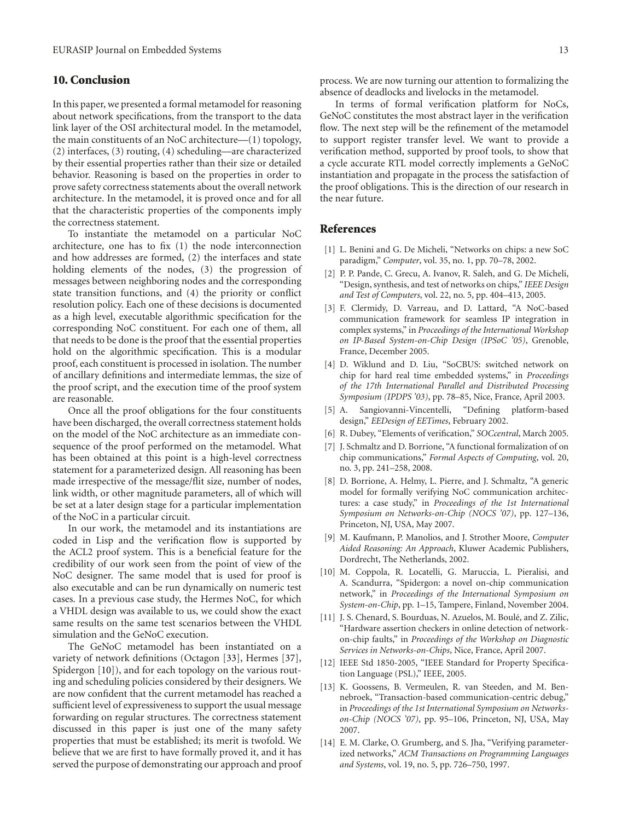# **10. Conclusion**

In this paper, we presented a formal metamodel for reasoning about network specifications, from the transport to the data link layer of the OSI architectural model. In the metamodel, the main constituents of an NoC architecture—(1) topology, (2) interfaces, (3) routing, (4) scheduling—are characterized by their essential properties rather than their size or detailed behavior. Reasoning is based on the properties in order to prove safety correctness statements about the overall network architecture. In the metamodel, it is proved once and for all that the characteristic properties of the components imply the correctness statement.

To instantiate the metamodel on a particular NoC architecture, one has to fix (1) the node interconnection and how addresses are formed, (2) the interfaces and state holding elements of the nodes, (3) the progression of messages between neighboring nodes and the corresponding state transition functions, and (4) the priority or conflict resolution policy. Each one of these decisions is documented as a high level, executable algorithmic specification for the corresponding NoC constituent. For each one of them, all that needs to be done is the proof that the essential properties hold on the algorithmic specification. This is a modular proof, each constituent is processed in isolation. The number of ancillary definitions and intermediate lemmas, the size of the proof script, and the execution time of the proof system are reasonable.

Once all the proof obligations for the four constituents have been discharged, the overall correctness statement holds on the model of the NoC architecture as an immediate consequence of the proof performed on the metamodel. What has been obtained at this point is a high-level correctness statement for a parameterized design. All reasoning has been made irrespective of the message/flit size, number of nodes, link width, or other magnitude parameters, all of which will be set at a later design stage for a particular implementation of the NoC in a particular circuit.

In our work, the metamodel and its instantiations are coded in Lisp and the verification flow is supported by the ACL2 proof system. This is a beneficial feature for the credibility of our work seen from the point of view of the NoC designer. The same model that is used for proof is also executable and can be run dynamically on numeric test cases. In a previous case study, the Hermes NoC, for which a VHDL design was available to us, we could show the exact same results on the same test scenarios between the VHDL simulation and the GeNoC execution.

The GeNoC metamodel has been instantiated on a variety of network definitions (Octagon [33], Hermes [37], Spidergon [10]), and for each topology on the various routing and scheduling policies considered by their designers. We are now confident that the current metamodel has reached a sufficient level of expressiveness to support the usual message forwarding on regular structures. The correctness statement discussed in this paper is just one of the many safety properties that must be established; its merit is twofold. We believe that we are first to have formally proved it, and it has served the purpose of demonstrating our approach and proof

process. We are now turning our attention to formalizing the absence of deadlocks and livelocks in the metamodel.

In terms of formal verification platform for NoCs, GeNoC constitutes the most abstract layer in the verification flow. The next step will be the refinement of the metamodel to support register transfer level. We want to provide a verification method, supported by proof tools, to show that a cycle accurate RTL model correctly implements a GeNoC instantiation and propagate in the process the satisfaction of the proof obligations. This is the direction of our research in the near future.

#### **References**

- [1] L. Benini and G. De Micheli, "Networks on chips: a new SoC paradigm," *Computer*, vol. 35, no. 1, pp. 70–78, 2002.
- [2] P. P. Pande, C. Grecu, A. Ivanov, R. Saleh, and G. De Micheli, "Design, synthesis, and test of networks on chips," *IEEE Design and Test of Computers*, vol. 22, no. 5, pp. 404–413, 2005.
- [3] F. Clermidy, D. Varreau, and D. Lattard, "A NoC-based communication framework for seamless IP integration in complex systems," in *Proceedings of the International Workshop on IP-Based System-on-Chip Design (IPSoC '05)*, Grenoble, France, December 2005.
- [4] D. Wiklund and D. Liu, "SoCBUS: switched network on chip for hard real time embedded systems," in *Proceedings of the 17th International Parallel and Distributed Processing Symposium (IPDPS '03)*, pp. 78–85, Nice, France, April 2003.
- [5] A. Sangiovanni-Vincentelli, "Defining platform-based design," *EEDesign of EETimes*, February 2002.
- [6] R. Dubey, "Elements of verification," *SOCcentral*, March 2005.
- [7] J. Schmaltz and D. Borrione, "A functional formalization of on chip communications," *Formal Aspects of Computing*, vol. 20, no. 3, pp. 241–258, 2008.
- [8] D. Borrione, A. Helmy, L. Pierre, and J. Schmaltz, "A generic model for formally verifying NoC communication architectures: a case study," in *Proceedings of the 1st International Symposium on Networks-on-Chip (NOCS '07)*, pp. 127–136, Princeton, NJ, USA, May 2007.
- [9] M. Kaufmann, P. Manolios, and J. Strother Moore, *Computer Aided Reasoning: An Approach*, Kluwer Academic Publishers, Dordrecht, The Netherlands, 2002.
- [10] M. Coppola, R. Locatelli, G. Maruccia, L. Pieralisi, and A. Scandurra, "Spidergon: a novel on-chip communication network," in *Proceedings of the International Symposium on System-on-Chip*, pp. 1–15, Tampere, Finland, November 2004.
- [11] J. S. Chenard, S. Bourduas, N. Azuelos, M. Boulé, and Z. Zilic, "Hardware assertion checkers in online detection of networkon-chip faults," in *Proceedings of the Workshop on Diagnostic Services in Networks-on-Chips*, Nice, France, April 2007.
- [12] IEEE Std 1850-2005, "IEEE Standard for Property Specification Language (PSL)," IEEE, 2005.
- [13] K. Goossens, B. Vermeulen, R. van Steeden, and M. Bennebroek, "Transaction-based communication-centric debug," in *Proceedings of the 1st International Symposium on Networkson-Chip (NOCS '07)*, pp. 95–106, Princeton, NJ, USA, May 2007.
- [14] E. M. Clarke, O. Grumberg, and S. Jha, "Verifying parameterized networks," *ACM Transactions on Programming Languages and Systems*, vol. 19, no. 5, pp. 726–750, 1997.